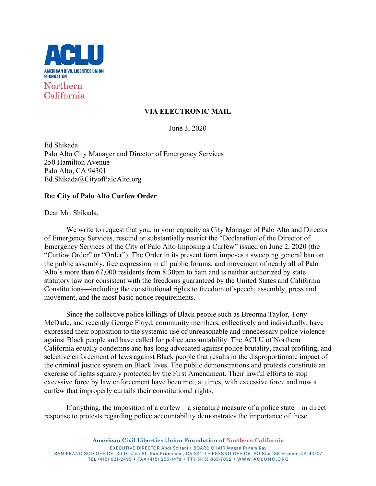

# **VIA ELECTRONIC MAIL**

June 3, 2020

Ed Shikada Palo Alto City Manager and Director of Emergency Services 250 Hamilton Avenue Palo Alto, CA 94301 Ed.Shikada@CityofPaloAlto.org

## **Re: City of Palo Alto Curfew Order**

Dear Mr. Shikada,

We write to request that you, in your capacity as City Manager of Palo Alto and Director of Emergency Services, rescind or substantially restrict the "Declaration of the Director of Emergency Services of the City of Palo Alto Imposing a Curfew" issued on June 2, 2020 (the "Curfew Order" or "Order"). The Order in its present form imposes a sweeping general ban on the public assembly, free expression in all public forums, and movement of nearly all of Palo Alto's more than 67,000 residents from 8:30pm to 5am and is neither authorized by state statutory law nor consistent with the freedoms guaranteed by the United States and California Constitutions—including the constitutional rights to freedom of speech, assembly, press and movement, and the most basic notice requirements.

Since the collective police killings of Black people such as Breonna Taylor, Tony McDade, and recently George Floyd, community members, collectively and individually, have expressed their opposition to the systemic use of unreasonable and unnecessary police violence against Black people and have called for police accountability. The ACLU of Northern California equally condemns and has long advocated against police brutality, racial profiling, and selective enforcement of laws against Black people that results in the disproportionate impact of the criminal justice system on Black lives. The public demonstrations and protests constitute an exercise of rights squarely protected by the First Amendment. Their lawful efforts to stop excessive force by law enforcement have been met, at times, with excessive force and now a curfew that improperly curtails their constitutional rights.

If anything, the imposition of a curfew—a signature measure of a police state—in direct response to protests regarding police accountability demonstrates the importance of these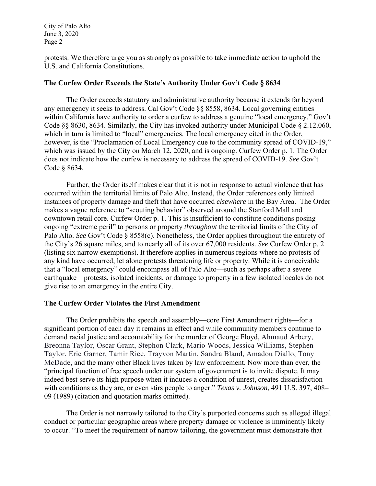protests. We therefore urge you as strongly as possible to take immediate action to uphold the U.S. and California Constitutions.

## **The Curfew Order Exceeds the State's Authority Under Gov't Code § 8634**

The Order exceeds statutory and administrative authority because it extends far beyond any emergency it seeks to address. Cal Gov't Code §§ 8558, 8634. Local governing entities within California have authority to order a curfew to address a genuine "local emergency." Gov't Code §§ 8630, 8634. Similarly, the City has invoked authority under Municipal Code § 2.12.060, which in turn is limited to "local" emergencies. The local emergency cited in the Order, however, is the "Proclamation of Local Emergency due to the community spread of COVID-19," which was issued by the City on March 12, 2020, and is ongoing. Curfew Order p. 1. The Order does not indicate how the curfew is necessary to address the spread of COVID-19. *See* Gov't Code § 8634.

Further, the Order itself makes clear that it is not in response to actual violence that has occurred within the territorial limits of Palo Alto. Instead, the Order references only limited instances of property damage and theft that have occurred *elsewhere* in the Bay Area. The Order makes a vague reference to "scouting behavior" observed around the Stanford Mall and downtown retail core. Curfew Order p. 1. This is insufficient to constitute conditions posing ongoing "extreme peril" to persons or property *throughout* the territorial limits of the City of Palo Alto. *See* Gov't Code § 8558(c). Nonetheless, the Order applies throughout the entirety of the City's 26 square miles, and to nearly all of its over 67,000 residents. *See* Curfew Order p. 2 (listing six narrow exemptions). It therefore applies in numerous regions where no protests of any kind have occurred, let alone protests threatening life or property. While it is conceivable that a "local emergency" could encompass all of Palo Alto—such as perhaps after a severe earthquake—protests, isolated incidents, or damage to property in a few isolated locales do not give rise to an emergency in the entire City.

## **The Curfew Order Violates the First Amendment**

The Order prohibits the speech and assembly—core First Amendment rights—for a significant portion of each day it remains in effect and while community members continue to demand racial justice and accountability for the murder of George Floyd, Ahmaud Arbery, Breonna Taylor, Oscar Grant, Stephon Clark, Mario Woods, Jessica Williams, Stephen Taylor, Eric Garner, Tamir Rice, Trayvon Martin, Sandra Bland, Amadou Diallo, Tony McDade, and the many other Black lives taken by law enforcement. Now more than ever, the "principal function of free speech under our system of government is to invite dispute. It may indeed best serve its high purpose when it induces a condition of unrest, creates dissatisfaction with conditions as they are, or even stirs people to anger." *Texas v. Johnson*, 491 U.S. 397, 408– 09 (1989) (citation and quotation marks omitted).

The Order is not narrowly tailored to the City's purported concerns such as alleged illegal conduct or particular geographic areas where property damage or violence is imminently likely to occur. "To meet the requirement of narrow tailoring, the government must demonstrate that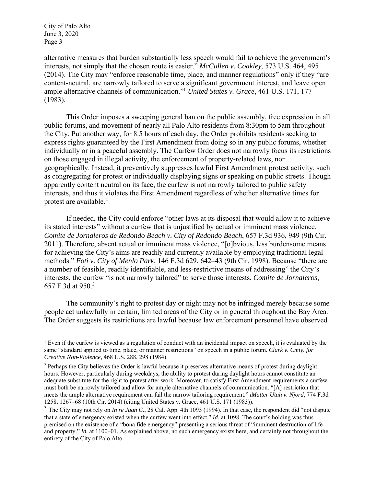alternative measures that burden substantially less speech would fail to achieve the government's interests, not simply that the chosen route is easier." *McCullen v. Coakley*, 573 U.S. 464, 495 (2014). The City may "enforce reasonable time, place, and manner regulations" only if they "are content-neutral, are narrowly tailored to serve a significant government interest, and leave open ample alternative channels of communication."1 *United States v. Grace*, 461 U.S. 171, 177 (1983).

This Order imposes a sweeping general ban on the public assembly, free expression in all public forums, and movement of nearly all Palo Alto residents from 8:30pm to 5am throughout the City. Put another way, for 8.5 hours of each day, the Order prohibits residents seeking to express rights guaranteed by the First Amendment from doing so in any public forums, whether individually or in a peaceful assembly. The Curfew Order does not narrowly focus its restrictions on those engaged in illegal activity, the enforcement of property-related laws, nor geographically. Instead, it preventively suppresses lawful First Amendment protest activity, such as congregating for protest or individually displaying signs or speaking on public streets. Though apparently content neutral on its face, the curfew is not narrowly tailored to public safety interests, and thus it violates the First Amendment regardless of whether alternative times for protest are available.<sup>2</sup>

If needed, the City could enforce "other laws at its disposal that would allow it to achieve its stated interests" without a curfew that is unjustified by actual or imminent mass violence. *Comite de Jornaleros de Redondo Beach v. City of Redondo Beach*, 657 F.3d 936, 949 (9th Cir. 2011). Therefore, absent actual or imminent mass violence, "[o]bvious, less burdensome means for achieving the City's aims are readily and currently available by employing traditional legal methods." *Foti v. City of Menlo Park*, 146 F.3d 629, 642–43 (9th Cir. 1998). Because "there are a number of feasible, readily identifiable, and less-restrictive means of addressing" the City's interests, the curfew "is not narrowly tailored" to serve those interests. *Comite de Jornaleros*, 657 F.3d at 950.<sup>3</sup>

The community's right to protest day or night may not be infringed merely because some people act unlawfully in certain, limited areas of the City or in general throughout the Bay Area. The Order suggests its restrictions are lawful because law enforcement personnel have observed

 $<sup>1</sup>$  Even if the curfew is viewed as a regulation of conduct with an incidental impact on speech, it is evaluated by the</sup> same "standard applied to time, place, or manner restrictions" on speech in a public forum. *Clark v. Cmty. for Creative Non-Violence*, 468 U.S. 288, 298 (1984).

<sup>&</sup>lt;sup>2</sup> Perhaps the City believes the Order is lawful because it preserves alternative means of protest during daylight hours. However, particularly during weekdays, the ability to protest during daylight hours cannot constitute an adequate substitute for the right to protest after work. Moreover, to satisfy First Amendment requirements a curfew must both be narrowly tailored and allow for ample alternative channels of communication. "[A] restriction that meets the ample alternative requirement can fail the narrow tailoring requirement." *iMatter Utah v. Njord*, 774 F.3d 1258, 1267–68 (10th Cir. 2014) (citing United States v. Grace, 461 U.S. 171 (1983)).

<sup>&</sup>lt;sup>3</sup> The City may not rely on *In re Juan C.*, 28 Cal. App. 4th 1093 (1994). In that case, the respondent did "not dispute that a state of emergency existed when the curfew went into effect." *Id.* at 1098. The court's holding was thus premised on the existence of a "bona fide emergency" presenting a serious threat of "imminent destruction of life and property." *Id.* at 1100–01. As explained above, no such emergency exists here, and certainly not throughout the entirety of the City of Palo Alto.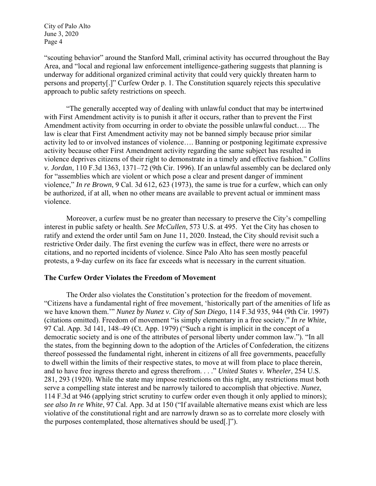"scouting behavior" around the Stanford Mall, criminal activity has occurred throughout the Bay Area, and "local and regional law enforcement intelligence-gathering suggests that planning is underway for additional organized criminal activity that could very quickly threaten harm to persons and property[.]" Curfew Order p. 1. The Constitution squarely rejects this speculative approach to public safety restrictions on speech.

"The generally accepted way of dealing with unlawful conduct that may be intertwined with First Amendment activity is to punish it after it occurs, rather than to prevent the First Amendment activity from occurring in order to obviate the possible unlawful conduct…. The law is clear that First Amendment activity may not be banned simply because prior similar activity led to or involved instances of violence…. Banning or postponing legitimate expressive activity because other First Amendment activity regarding the same subject has resulted in violence deprives citizens of their right to demonstrate in a timely and effective fashion." *Collins v. Jordan*, 110 F.3d 1363, 1371–72 (9th Cir. 1996). If an unlawful assembly can be declared only for "assemblies which are violent or which pose a clear and present danger of imminent violence," *In re Brown*, 9 Cal. 3d 612, 623 (1973), the same is true for a curfew, which can only be authorized, if at all, when no other means are available to prevent actual or imminent mass violence.

Moreover, a curfew must be no greater than necessary to preserve the City's compelling interest in public safety or health. *See McCullen*, 573 U.S. at 495. Yet the City has chosen to ratify and extend the order until 5am on June 11, 2020. Instead, the City should revisit such a restrictive Order daily. The first evening the curfew was in effect, there were no arrests or citations, and no reported incidents of violence. Since Palo Alto has seen mostly peaceful protests, a 9-day curfew on its face far exceeds what is necessary in the current situation.

#### **The Curfew Order Violates the Freedom of Movement**

 The Order also violates the Constitution's protection for the freedom of movement. "Citizens have a fundamental right of free movement, 'historically part of the amenities of life as we have known them.'" *Nunez by Nunez v. City of San Diego*, 114 F.3d 935, 944 (9th Cir. 1997) (citations omitted). Freedom of movement "is simply elementary in a free society." *In re White*, 97 Cal. App. 3d 141, 148–49 (Ct. App. 1979) ("Such a right is implicit in the concept of a democratic society and is one of the attributes of personal liberty under common law."). "In all the states, from the beginning down to the adoption of the Articles of Confederation, the citizens thereof possessed the fundamental right, inherent in citizens of all free governments, peacefully to dwell within the limits of their respective states, to move at will from place to place therein, and to have free ingress thereto and egress therefrom. . . ." *United States v. Wheeler*, 254 U.S. 281, 293 (1920). While the state may impose restrictions on this right, any restrictions must both serve a compelling state interest and be narrowly tailored to accomplish that objective. *Nunez*, 114 F.3d at 946 (applying strict scrutiny to curfew order even though it only applied to minors); *see also In re White*, 97 Cal. App. 3d at 150 ("If available alternative means exist which are less violative of the constitutional right and are narrowly drawn so as to correlate more closely with the purposes contemplated, those alternatives should be used[.]").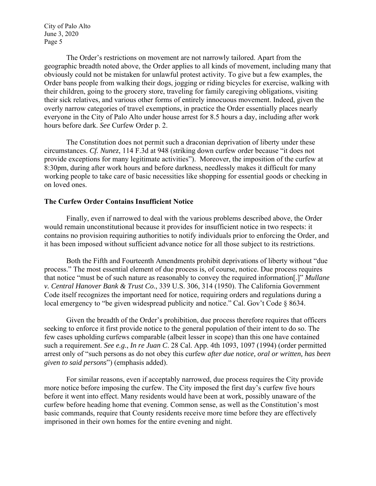The Order's restrictions on movement are not narrowly tailored. Apart from the geographic breadth noted above, the Order applies to all kinds of movement, including many that obviously could not be mistaken for unlawful protest activity. To give but a few examples, the Order bans people from walking their dogs, jogging or riding bicycles for exercise, walking with their children, going to the grocery store, traveling for family caregiving obligations, visiting their sick relatives, and various other forms of entirely innocuous movement. Indeed, given the overly narrow categories of travel exemptions, in practice the Order essentially places nearly everyone in the City of Palo Alto under house arrest for 8.5 hours a day, including after work hours before dark. *See* Curfew Order p. 2.

The Constitution does not permit such a draconian deprivation of liberty under these circumstances. *Cf. Nunez*, 114 F.3d at 948 (striking down curfew order because "it does not provide exceptions for many legitimate activities"). Moreover, the imposition of the curfew at 8:30pm, during after work hours and before darkness, needlessly makes it difficult for many working people to take care of basic necessities like shopping for essential goods or checking in on loved ones.

#### **The Curfew Order Contains Insufficient Notice**

 Finally, even if narrowed to deal with the various problems described above, the Order would remain unconstitutional because it provides for insufficient notice in two respects: it contains no provision requiring authorities to notify individuals prior to enforcing the Order, and it has been imposed without sufficient advance notice for all those subject to its restrictions.

Both the Fifth and Fourteenth Amendments prohibit deprivations of liberty without "due process." The most essential element of due process is, of course, notice. Due process requires that notice "must be of such nature as reasonably to convey the required information[.]" *Mullane v. Central Hanover Bank & Trust Co.*, 339 U.S. 306, 314 (1950). The California Government Code itself recognizes the important need for notice, requiring orders and regulations during a local emergency to "be given widespread publicity and notice." Cal. Gov't Code § 8634.

Given the breadth of the Order's prohibition, due process therefore requires that officers seeking to enforce it first provide notice to the general population of their intent to do so. The few cases upholding curfews comparable (albeit lesser in scope) than this one have contained such a requirement. *See e.g.*, *In re Juan C*. 28 Cal. App. 4th 1093, 1097 (1994) (order permitted arrest only of "such persons as do not obey this curfew *after due notice, oral or written, has been given to said persons*") (emphasis added).

For similar reasons, even if acceptably narrowed, due process requires the City provide more notice before imposing the curfew. The City imposed the first day's curfew five hours before it went into effect. Many residents would have been at work, possibly unaware of the curfew before heading home that evening. Common sense, as well as the Constitution's most basic commands, require that County residents receive more time before they are effectively imprisoned in their own homes for the entire evening and night.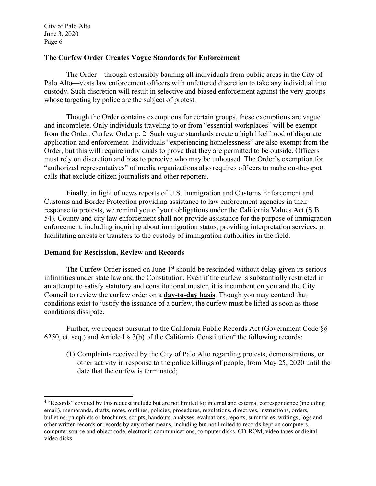## **The Curfew Order Creates Vague Standards for Enforcement**

 The Order—through ostensibly banning all individuals from public areas in the City of Palo Alto—vests law enforcement officers with unfettered discretion to take any individual into custody. Such discretion will result in selective and biased enforcement against the very groups whose targeting by police are the subject of protest.

 Though the Order contains exemptions for certain groups, these exemptions are vague and incomplete. Only individuals traveling to or from "essential workplaces" will be exempt from the Order. Curfew Order p. 2. Such vague standards create a high likelihood of disparate application and enforcement. Individuals "experiencing homelessness" are also exempt from the Order, but this will require individuals to prove that they are permitted to be outside. Officers must rely on discretion and bias to perceive who may be unhoused. The Order's exemption for "authorized representatives" of media organizations also requires officers to make on-the-spot calls that exclude citizen journalists and other reporters.

 Finally, in light of news reports of U.S. Immigration and Customs Enforcement and Customs and Border Protection providing assistance to law enforcement agencies in their response to protests, we remind you of your obligations under the California Values Act (S.B. 54). County and city law enforcement shall not provide assistance for the purpose of immigration enforcement, including inquiring about immigration status, providing interpretation services, or facilitating arrests or transfers to the custody of immigration authorities in the field.

#### **Demand for Rescission, Review and Records**

The Curfew Order issued on June  $1<sup>st</sup>$  should be rescinded without delay given its serious infirmities under state law and the Constitution. Even if the curfew is substantially restricted in an attempt to satisfy statutory and constitutional muster, it is incumbent on you and the City Council to review the curfew order on a **day-to-day basis**. Though you may contend that conditions exist to justify the issuance of a curfew, the curfew must be lifted as soon as those conditions dissipate.

Further, we request pursuant to the California Public Records Act (Government Code §§ 6250, et. seq.) and Article I  $\S$  3(b) of the California Constitution<sup>4</sup> the following records:

(1) Complaints received by the City of Palo Alto regarding protests, demonstrations, or other activity in response to the police killings of people, from May 25, 2020 until the date that the curfew is terminated;

<sup>&</sup>lt;sup>4</sup> "Records" covered by this request include but are not limited to: internal and external correspondence (including email), memoranda, drafts, notes, outlines, policies, procedures, regulations, directives, instructions, orders, bulletins, pamphlets or brochures, scripts, handouts, analyses, evaluations, reports, summaries, writings, logs and other written records or records by any other means, including but not limited to records kept on computers, computer source and object code, electronic communications, computer disks, CD-ROM, video tapes or digital video disks.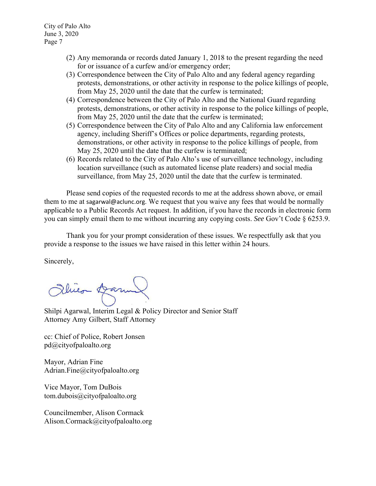- (2) Any memoranda or records dated January 1, 2018 to the present regarding the need for or issuance of a curfew and/or emergency order;
- (3) Correspondence between the City of Palo Alto and any federal agency regarding protests, demonstrations, or other activity in response to the police killings of people, from May 25, 2020 until the date that the curfew is terminated;
- (4) Correspondence between the City of Palo Alto and the National Guard regarding protests, demonstrations, or other activity in response to the police killings of people, from May 25, 2020 until the date that the curfew is terminated;
- (5) Correspondence between the City of Palo Alto and any California law enforcement agency, including Sheriff's Offices or police departments, regarding protests, demonstrations, or other activity in response to the police killings of people, from May 25, 2020 until the date that the curfew is terminated;
- (6) Records related to the City of Palo Alto's use of surveillance technology, including location surveillance (such as automated license plate readers) and social media surveillance, from May 25, 2020 until the date that the curfew is terminated.

Please send copies of the requested records to me at the address shown above, or email them to me at sagarwal@aclunc.org. We request that you waive any fees that would be normally applicable to a Public Records Act request. In addition, if you have the records in electronic form you can simply email them to me without incurring any copying costs. *See* Gov't Code § 6253.9.

Thank you for your prompt consideration of these issues. We respectfully ask that you provide a response to the issues we have raised in this letter within 24 hours.

Sincerely,

Obico Darma

Shilpi Agarwal, Interim Legal & Policy Director and Senior Staff Attorney Amy Gilbert, Staff Attorney

cc: Chief of Police, Robert Jonsen pd@cityofpaloalto.org

Mayor, Adrian Fine Adrian.Fine@cityofpaloalto.org

Vice Mayor, Tom DuBois tom.dubois@cityofpaloalto.org

Councilmember, Alison Cormack Alison.Cormack@cityofpaloalto.org